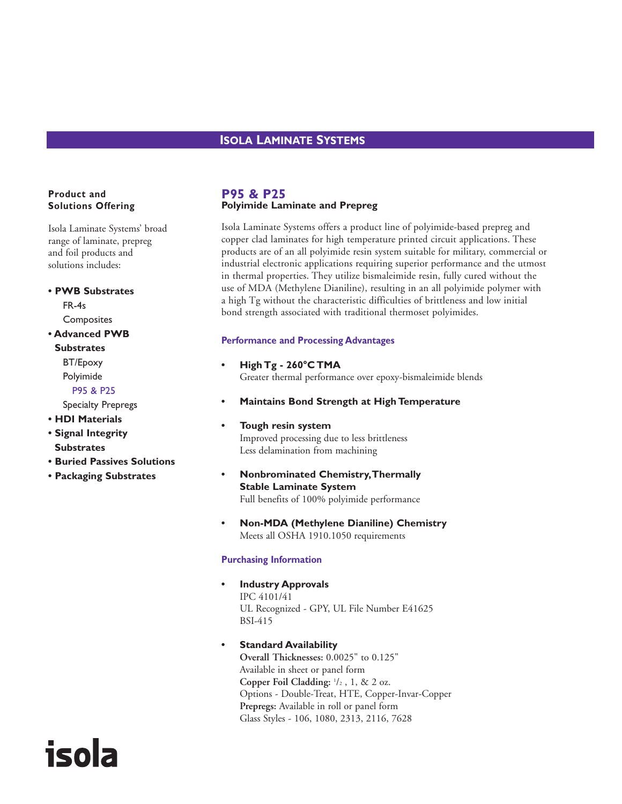# **ISOLA LAMINATE SYSTEMS**

#### **Product and Solutions Offering**

Isola Laminate Systems' broad range of laminate, prepreg and foil products and solutions includes:

## **• PWB Substrates**

FR-4s **Composites** 

**• Advanced PWB**

**Substrates** BT/Epoxy

Polyimide

## P95 & P25

Specialty Prepregs

- **HDI Materials**
- **Signal Integrity Substrates**

isola

- **Buried Passives Solutions**
- **Packaging Substrates**

#### **P95 & P25 Polyimide Laminate and Prepreg**

Isola Laminate Systems offers a product line of polyimide-based prepreg and copper clad laminates for high temperature printed circuit applications. These products are of an all polyimide resin system suitable for military, commercial or industrial electronic applications requiring superior performance and the utmost in thermal properties. They utilize bismaleimide resin, fully cured without the use of MDA (Methylene Dianiline), resulting in an all polyimide polymer with a high Tg without the characteristic difficulties of brittleness and low initial bond strength associated with traditional thermoset polyimides.

#### **Performance and Processing Advantages**

- **High Tg 260°C TMA** Greater thermal performance over epoxy-bismaleimide blends
- **Maintains Bond Strength at High Temperature**
- **Tough resin system** Improved processing due to less brittleness Less delamination from machining
- **Nonbrominated Chemistry,Thermally Stable Laminate System**  Full benefits of 100% polyimide performance
- **Non-MDA (Methylene Dianiline) Chemistry** Meets all OSHA 1910.1050 requirements

#### **Purchasing Information**

**• Industry Approvals** IPC 4101/41 UL Recognized - GPY, UL File Number E41625 BSI-415

#### **• Standard Availability**

**Overall Thicknesses:** 0.0025" to 0.125" Available in sheet or panel form **Copper Foil Cladding:** <sup>1</sup> /2 , 1, & 2 oz. Options - Double-Treat, HTE, Copper-Invar-Copper **Prepregs:** Available in roll or panel form Glass Styles - 106, 1080, 2313, 2116, 7628